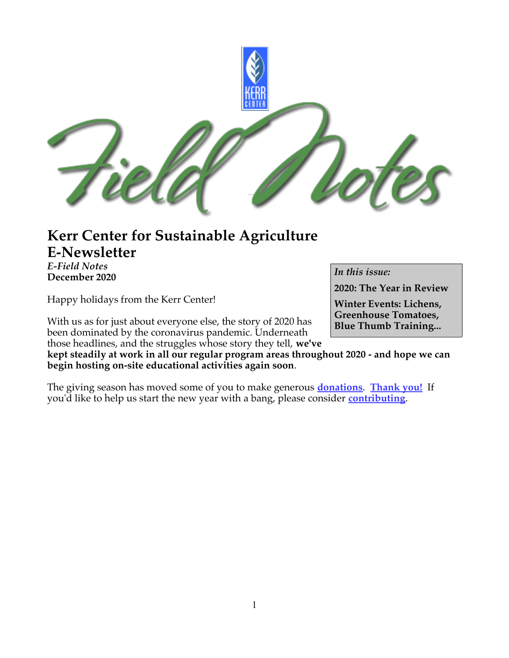

# **Kerr Center for Sustainable Agriculture E-Newsletter**

*E-Field Notes* **December 2020**

Happy holidays from the Kerr Center!

With us as for just about everyone else, the story of 2020 has been dominated by the coronavirus pandemic. Underneath

those headlines, and the struggles whose story they tell, **we've kept steadily at work in all our regular program areas throughout 2020 - and hope we can** 

**begin hosting on-site educational activities again soon**.

The giving season has moved some of you to make generous **[donations](https://kerrcenter.com/donate)**. **[Thank you!](https://kerrcenter.com/about/donate/thanks-donors/)** If you'd like to help us start the new year with a bang, please consider **[contributing](https://kerrcenter.com/donate)**.

*In this issue:*

**2020: The Year in Review**

**Winter Events: Lichens, Greenhouse Tomatoes, Blue Thumb Training...**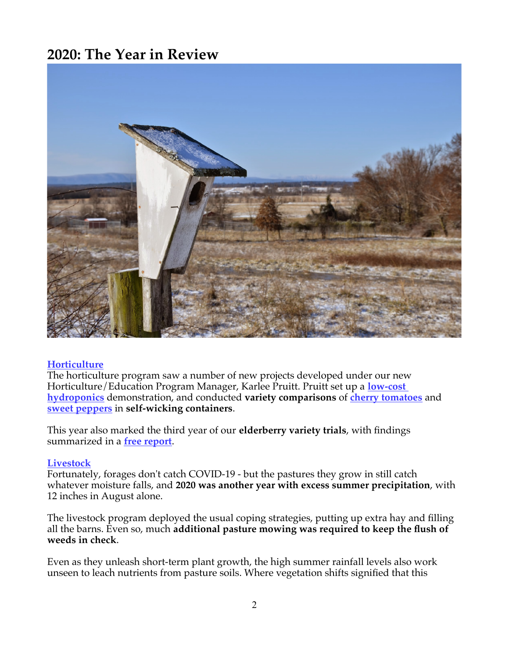## **2020: The Year in Review**



#### **[Horticulture](https://kerrcenter.com/organic-horticulture/)**

The horticulture program saw a number of new projects developed under our new Horticulture/Education Program Manager, Karlee Pruitt. Pruitt set up a **[low-cost](https://kerrcenter.com/hydroponics-first-observations/)  [hydroponics](https://kerrcenter.com/hydroponics-first-observations/)** demonstration, and conducted **variety comparisons** of **[cherry tomatoes](https://kerrcenter.com/publication/cherry-tomatoes-self-wicking-containers/)** and **[sweet peppers](https://kerrcenter.com/pepper-production-in-wicking-containers/)** in **self-wicking containers**.

This year also marked the third year of our **elderberry variety trials**, with fndings summarized in a **[free report](https://kerrcenter.com/publication/elderberries-in-oklahoma/)**.

#### **[Livestock](https://kerrcenter.com/oklahoma-sustainable-livestock/)**

Fortunately, forages don't catch COVID-19 - but the pastures they grow in still catch whatever moisture falls, and **2020 was another year with excess summer precipitation**, with 12 inches in August alone.

The livestock program deployed the usual coping strategies, putting up extra hay and flling all the barns. Even so, much **additional pasture mowing was required to keep the fush of weeds in check**.

Even as they unleash short-term plant growth, the high summer rainfall levels also work unseen to leach nutrients from pasture soils. Where vegetation shifts signifed that this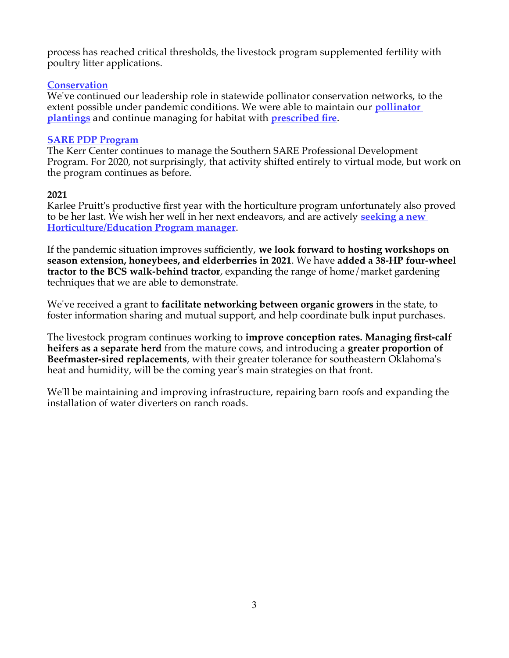process has reached critical thresholds, the livestock program supplemented fertility with poultry litter applications.

#### **[Conservation](https://kerrcenter.com/conservation/)**

We've continued our leadership role in statewide pollinator conservation networks, to the extent possible under pandemic conditions. We were able to maintain our **[pollinator](https://kerrcenter.com/conservation/native-plants-pollinators/)  [plantings](https://kerrcenter.com/conservation/native-plants-pollinators/)** and continue managing for habitat with **[prescribed fre](https://kerrcenter.com/tag/prescribed-fire/)**.

#### **[SARE PDP Program](https://kerrcenter.com/education-training/sare-professional-development/)**

The Kerr Center continues to manage the Southern SARE Professional Development Program. For 2020, not surprisingly, that activity shifted entirely to virtual mode, but work on the program continues as before.

#### **2021**

Karlee Pruitt's productive first year with the horticulture program unfortunately also proved to be her last. We wish her well in her next endeavors, and are actively **[seeking a new](https://kerrcenter.com/position-announcement-education-horticulture-program-manager-2/)  [Horticulture/Education Program manager](https://kerrcenter.com/position-announcement-education-horticulture-program-manager-2/)**.

If the pandemic situation improves sufficiently, we look forward to hosting workshops on **season extension, honeybees, and elderberries in 2021**. We have **added a 38-HP four-wheel tractor to the BCS walk-behind tractor**, expanding the range of home/market gardening techniques that we are able to demonstrate.

We've received a grant to **facilitate networking between organic growers** in the state, to foster information sharing and mutual support, and help coordinate bulk input purchases.

The livestock program continues working to **improve conception rates. Managing frst-calf heifers as a separate herd** from the mature cows, and introducing a **greater proportion of Beefmaster-sired replacements**, with their greater tolerance for southeastern Oklahoma's heat and humidity, will be the coming year's main strategies on that front.

We'll be maintaining and improving infrastructure, repairing barn roofs and expanding the installation of water diverters on ranch roads.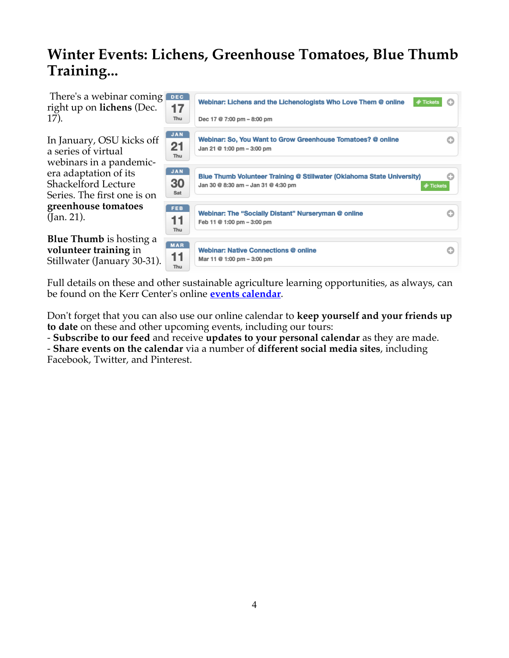# **Winter Events: Lichens, Greenhouse Tomatoes, Blue Thumb Training...**

There's a webinar coming right up on **lichens** (Dec. 17).

In January, OSU kicks off a series of virtual webinars in a pandemicera adaptation of its Shackelford Lecture Series. The frst one is on **greenhouse tomatoes** (Jan. 21).

**Blue Thumb** is hosting a **volunteer training** in Stillwater (January 30-31).



Full details on these and other sustainable agriculture learning opportunities, as always, can be found on the Kerr Center's online **[events calendar](http://kerrcenter.com/education-training/news-and-events/events/)**.

Don't forget that you can also use our online calendar to **keep yourself and your friends up to date** on these and other upcoming events, including our tours:

- **Subscribe to our feed** and receive **updates to your personal calendar** as they are made.

- **Share events on the calendar** via a number of **different social media sites**, including Facebook, Twitter, and Pinterest.